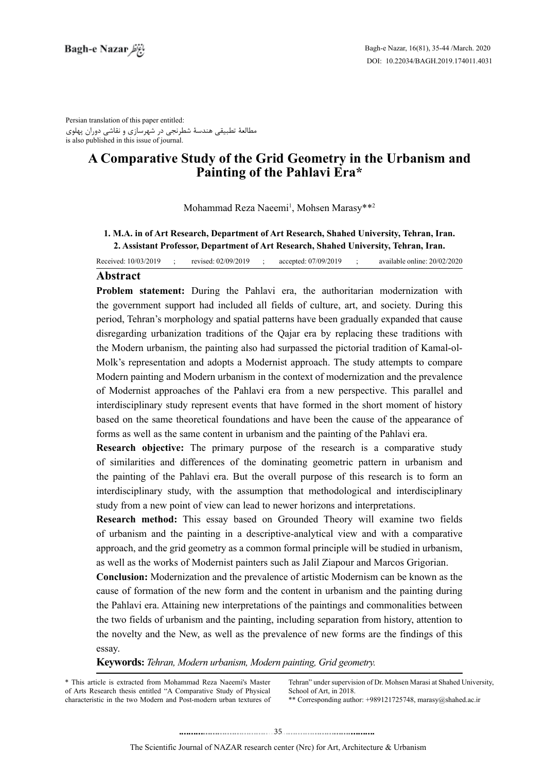Persian translation of this paper entitled: مطالعۀ تطبیقی هندسۀ شطرنجی در شهرسازی و نقاشی دوران پهلوی is also published in this issue of journal.

# **A Comparative Study of the Grid Geometry in the Urbanism and Painting of the Pahlavi Era\***

Mohammad Reza Naeemi<sup>1</sup>, Mohsen Marasy\*\*<sup>2</sup>

### 1. M.A. in of Art Research, Department of Art Research, Shahed University, Tehran, Iran. 2. Assistant Professor, Department of Art Research, Shahed University, Tehran, Iran.

Received: 10/03/2019 ; revised: 02/09/2019 ; accepted: 07/09/2019 ; available online: 20/02/2020

## **Abstract**

**Problem statement:** During the Pahlavi era, the authoritarian modernization with the government support had included all fields of culture, art, and society. During this period, Tehran's morphology and spatial patterns have been gradually expanded that cause disregarding urbanization traditions of the Qajar era by replacing these traditions with Molk's representation and adopts a Modernist approach. The study attempts to compare the Modern urbanism, the painting also had surpassed the pictorial tradition of Kamal-ol-Modern painting and Modern urbanism in the context of modernization and the prevalence of Modernist approaches of the Pahlavi era from a new perspective. This parallel and interdisciplinary study represent events that have formed in the short moment of history based on the same theoretical foundations and have been the cause of the appearance of forms as well as the same content in urbanism and the painting of the Pahlavi era.

**Research objective:** The primary purpose of the research is a comparative study of similarities and differences of the dominating geometric pattern in urbanism and the painting of the Pahlavi era. But the overall purpose of this research is to form an interdisciplinary study, with the assumption that methodological and interdisciplinary study from a new point of view can lead to newer horizons and interpretations.

**Research method:** This essay based on Grounded Theory will examine two fields of urbanism and the painting in a descriptive-analytical view and with a comparative approach, and the grid geometry as a common formal principle will be studied in urbanism, as well as the works of Modernist painters such as Jalil Ziapour and Marcos Grigorian.

**Conclusion:** Modernization and the prevalence of artistic Modernism can be known as the cause of formation of the new form and the content in urbanism and the painting during the Pahlavi era. Attaining new interpretations of the paintings and commonalities between the two fields of urbanism and the painting, including separation from history, attention to the novelty and the New, as well as the prevalence of new forms are the findings of this essay.

**Keywords:** Tehran, Modern urbanism, Modern painting, Grid geometry.

\* This article is extracted from Mohammad Reza Naeemi's Master of Arts Research thesis entitled "A Comparative Study of Physical characteristic in the two Modern and Post-modern urban textures of Tehran" under supervision of Dr. Mohsen Marasi at Shahed University, School of Art. in 2018.

\*\* Corresponding author:  $+989121725748$ , marasy @shahed.ac.ir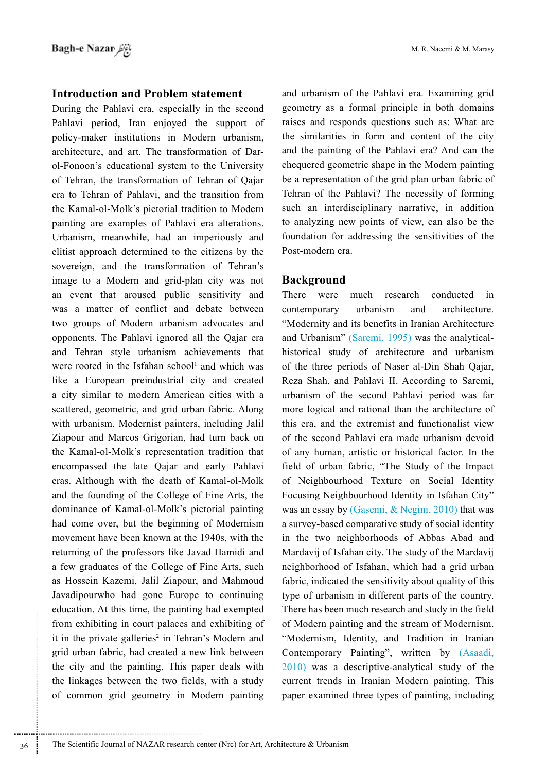#### **Introduction and Problem statement**

During the Pahlavi era, especially in the second Pahlavi period, Iran enjoyed the support of policy-maker institutions in Modern urbanism, architecture, and art. The transformation of Darol-Fonoon's educational system to the University of Tehran, the transformation of Tehran of Oajar era to Tehran of Pahlavi, and the transition from the Kamal-ol-Molk's pictorial tradition to Modern painting are examples of Pahlavi era alterations. Urbanism, meanwhile, had an imperiously and elitist approach determined to the citizens by the sovereign, and the transformation of Tehran's image to a Modern and grid-plan city was not an event that aroused public sensitivity and was a matter of conflict and debate between two groups of Modern urbanism advocates and opponents. The Pahlavi ignored all the Qajar era and Tehran style urbanism achievements that were rooted in the Isfahan school<sup>1</sup> and which was like a European preindustrial city and created a city similar to modern American cities with a scattered, geometric, and grid urban fabric. Along with urbanism, Modernist painters, including Jalil Ziapour and Marcos Grigorian, had turn back on the Kamal-ol-Molk's representation tradition that encompassed the late Qajar and early Pahlavi eras. Although with the death of Kamal-ol-Molk and the founding of the College of Fine Arts, the dominance of Kamal-ol-Molk's pictorial painting had come over, but the beginning of Modernism movement have been known at the 1940s, with the returning of the professors like Javad Hamidi and a few graduates of the College of Fine Arts, such as Hossein Kazemi, Jalil Ziapour, and Mahmoud Javadipourwho had gone Europe to continuing education. At this time, the painting had exempted from exhibiting in court palaces and exhibiting of it in the private galleries<sup>2</sup> in Tehran's Modern and grid urban fabric, had created a new link between the city and the painting. This paper deals with the linkages between the two fields, with a study of common grid geometry in Modern painting and urbanism of the Pahlavi era. Examining grid geometry as a formal principle in both domains raises and responds questions such as: What are the similarities in form and content of the city and the painting of the Pahlavi era? And can the chequered geometric shape in the Modern painting be a representation of the grid plan urban fabric of Tehran of the Pahlavi? The necessity of forming such an interdisciplinary narrative, in addition to analyzing new points of view, can also be the foundation for addressing the sensitivities of the Post-modern era.

### **Background**

There were much research conducted  $in$ contemporary urbanism and architecture. "Modernity and its benefits in Iranian Architecture and Urbanism" (Saremi, 1995) was the analyticalhistorical study of architecture and urbanism of the three periods of Naser al-Din Shah Qajar, Reza Shah, and Pahlavi II. According to Saremi, urbanism of the second Pahlavi period was far more logical and rational than the architecture of this era, and the extremist and functionalist view of the second Pahlavi era made urbanism devoid of any human, artistic or historical factor. In the field of urban fabric, "The Study of the Impact of Neighbourhood Texture on Social Identity Focusing Neighbourhood Identity in Isfahan City" was an essay by (Gasemi, & Negini, 2010) that was a survey-based comparative study of social identity in the two neighborhoods of Abbas Abad and Mardavij of Isfahan city. The study of the Mardavij neighborhood of Isfahan, which had a grid urban fabric, indicated the sensitivity about quality of this type of urbanism in different parts of the country. There has been much research and study in the field of Modern painting and the stream of Modernism. "Modernism, Identity, and Tradition in Iranian Contemporary Painting", written by (Asaadi, 2010) was a descriptive-analytical study of the current trends in Iranian Modern painting. This paper examined three types of painting, including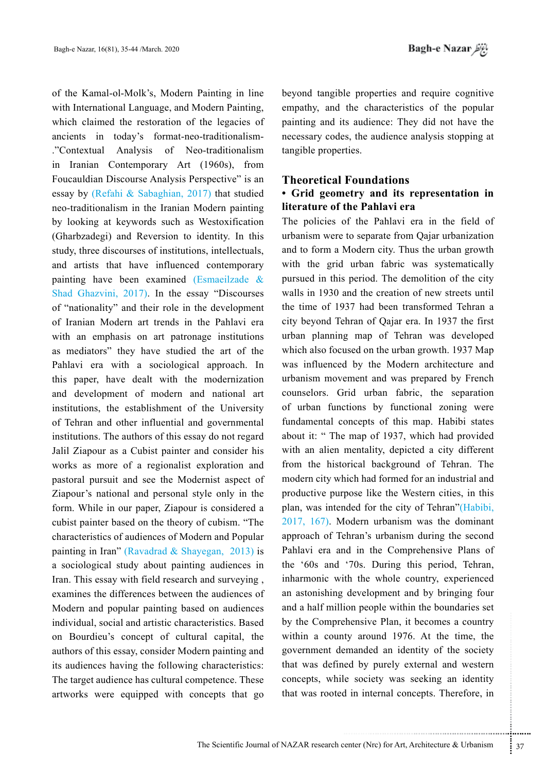of the Kamal-ol-Molk's, Modern Painting in line with International Language, and Modern Painting, which claimed the restoration of the legacies of ancients in today's format-neo-traditionalism-"Contextual Analysis of Neo-traditionalism in Iranian Contemporary Art (1960s), from Foucauldian Discourse Analysis Perspective" is an essay by (Refahi & Sabaghian, 2017) that studied neo-traditionalism in the Iranian Modern painting by looking at keywords such as Westoxification (Gharbzadegi) and Reversion to identity. In this study, three discourses of institutions, intellectuals, and artists that have influenced contemporary painting have been examined (Esmaeilzade & Shad Ghazvini, 2017). In the essay "Discourses of "nationality" and their role in the development of Iranian Modern art trends in the Pahlavi era with an emphasis on art patronage institutions as mediators" they have studied the art of the Pahlavi era with a sociological approach. In this paper, have dealt with the modernization and development of modern and national art institutions, the establishment of the University of Tehran and other influential and governmental institutions. The authors of this essay do not regard Jalil Ziapour as a Cubist painter and consider his works as more of a regionalist exploration and pastoral pursuit and see the Modernist aspect of Ziapour's national and personal style only in the form. While in our paper, Ziapour is considered a cubist painter based on the theory of cubism. "The characteristics of audiences of Modern and Popular painting in Iran" (Ravadrad & Shayegan, 2013) is a sociological study about painting audiences in Iran. This essay with field research and surveying, examines the differences between the audiences of Modern and popular painting based on audiences individual, social and artistic characteristics. Based on Bourdieu's concept of cultural capital, the authors of this essay, consider Modern painting and its audiences having the following characteristics: The target audience has cultural competence. These artworks were equipped with concepts that go

beyond tangible properties and require cognitive empathy, and the characteristics of the popular painting and its audience: They did not have the necessary codes, the audience analysis stopping at tangible properties.

### **Theoretical Foundations**

### • Grid geometry and its representation in literature of the Pahlavi era

The policies of the Pahlavi era in the field of urbanism were to separate from Qajar urbanization and to form a Modern city. Thus the urban growth with the grid urban fabric was systematically pursued in this period. The demolition of the city walls in 1930 and the creation of new streets until the time of 1937 had been transformed Tehran a city beyond Tehran of Qajar era. In 1937 the first urban planning map of Tehran was developed which also focused on the urban growth. 1937 Map was influenced by the Modern architecture and urbanism movement and was prepared by French counselors. Grid urban fabric, the separation of urban functions by functional zoning were fundamental concepts of this map. Habibi states about it: " The map of 1937, which had provided with an alien mentality, depicted a city different from the historical background of Tehran. The modern city which had formed for an industrial and productive purpose like the Western cities, in this plan, was intended for the city of Tehran" (Habibi, 2017, 167). Modern urbanism was the dominant approach of Tehran's urbanism during the second Pahlavi era and in the Comprehensive Plans of the '60s and '70s. During this period, Tehran, inharmonic with the whole country, experienced an astonishing development and by bringing four and a half million people within the boundaries set by the Comprehensive Plan, it becomes a country within a county around 1976. At the time, the government demanded an identity of the society that was defined by purely external and western concepts, while society was seeking an identity that was rooted in internal concepts. Therefore, in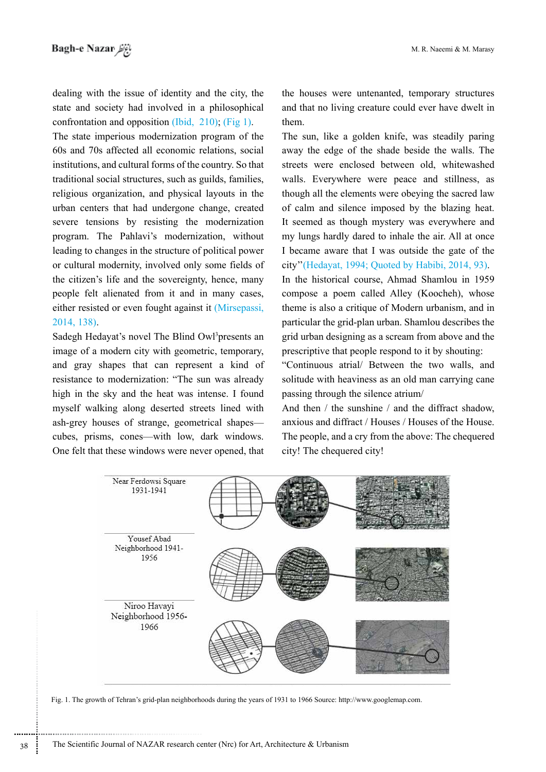dealing with the issue of identity and the city, the state and society had involved in a philosophical confrontation and opposition (Ibid, 210); (Fig 1).

The state imperious modernization program of the 60s and 70s affected all economic relations, social institutions, and cultural forms of the country. So that traditional social structures, such as guilds, families, religious organization, and physical layouts in the urban centers that had undergone change, created severe tensions by resisting the modernization program. The Pahlavi's modernization, without leading to changes in the structure of political power or cultural modernity, involved only some fields of the citizen's life and the sovereignty, hence, many people felt alienated from it and in many cases, either resisted or even fought against it (Mirsepassi, 2014, 138).

Sadegh Hedavat's novel The Blind Owl<sup>3</sup>presents an image of a modern city with geometric, temporary, and gray shapes that can represent a kind of resistance to modernization: "The sun was already high in the sky and the heat was intense. I found myself walking along deserted streets lined with ash-grey houses of strange, geometrical shapes cubes, prisms, cones—with low, dark windows. One felt that these windows were never opened, that the houses were untenanted, temporary structures and that no living creature could ever have dwelt in them.

The sun, like a golden knife, was steadily paring away the edge of the shade beside the walls. The streets were enclosed between old, whitewashed walls. Everywhere were peace and stillness, as though all the elements were obeying the sacred law of calm and silence imposed by the blazing heat. It seemed as though mystery was everywhere and my lungs hardly dared to inhale the air. All at once I became aware that I was outside the gate of the city" (Hedayat, 1994; Quoted by Habibi, 2014, 93).

In the historical course, Ahmad Shamlou in 1959 compose a poem called Alley (Koocheh), whose theme is also a critique of Modern urbanism, and in particular the grid-plan urban. Shamlou describes the erid urban designing as a scream from above and the prescriptive that people respond to it by shouting:

"Continuous atrial/ Between the two walls, and solitude with heaviness as an old man carrying cane passing through the silence atrium/

And then  $/$  the sunshine  $/$  and the diffract shadow. anxious and diffract / Houses / Houses of the House. The people, and a cry from the above: The chequered city! The chequered city!



Fig. 1. The growth of Tehran's grid-plan neighborhoods during the years of 1931 to 1966 Source: http://www.googlemap.com.

38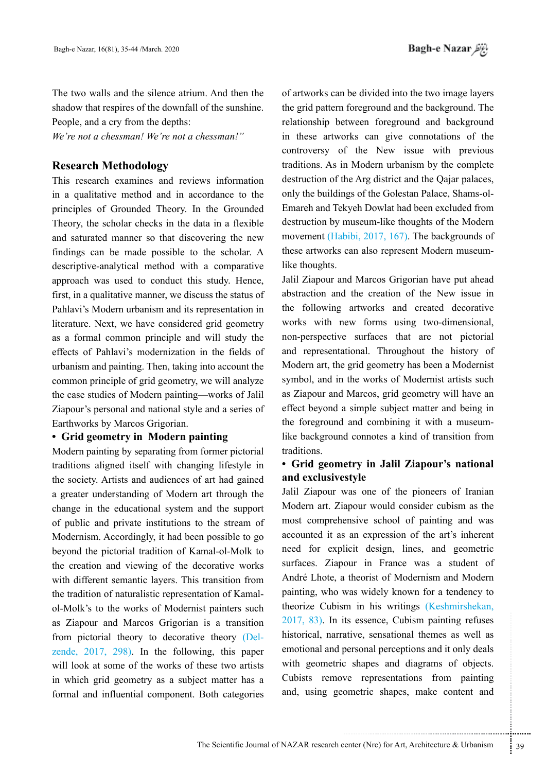The two walls and the silence atrium. And then the shadow that respires of the downfall of the sunshine. People, and a cry from the depths:

We're not a chessman! We're not a chessman!"

## **Research Methodology**

This research examines and reviews information in a qualitative method and in accordance to the principles of Grounded Theory. In the Grounded Theory, the scholar checks in the data in a flexible and saturated manner so that discovering the new findings can be made possible to the scholar. A descriptive-analytical method with a comparative approach was used to conduct this study. Hence, first, in a qualitative manner, we discuss the status of Pahlavi's Modern urbanism and its representation in literature. Next, we have considered grid geometry as a formal common principle and will study the effects of Pahlavi's modernization in the fields of urbanism and painting. Then, taking into account the common principle of grid geometry, we will analyze the case studies of Modern painting—works of Jalil Ziapour's personal and national style and a series of Earthworks by Marcos Grigorian.

### • Grid geometry in Modern painting

Modern painting by separating from former pictorial traditions aligned itself with changing lifestyle in the society. Artists and audiences of art had gained a greater understanding of Modern art through the change in the educational system and the support of public and private institutions to the stream of Modernism. Accordingly, it had been possible to go beyond the pictorial tradition of Kamal-ol-Molk to the creation and viewing of the decorative works with different semantic layers. This transition from the tradition of naturalistic representation of Kamalol-Molk's to the works of Modernist painters such as Ziapour and Marcos Grigorian is a transition from pictorial theory to decorative theory (Delzende,  $2017$ ,  $298$ ). In the following, this paper will look at some of the works of these two artists in which grid geometry as a subject matter has a formal and influential component. Both categories

of artworks can be divided into the two image layers the grid pattern foreground and the background. The relationship between foreground and background in these artworks can give connotations of the controversy of the New issue with previous traditions. As in Modern urbanism by the complete destruction of the Arg district and the Qajar palaces, only the buildings of the Golestan Palace, Shams-ol-Emareh and Tekyeh Dowlat had been excluded from destruction by museum-like thoughts of the Modern movement (Habibi, 2017, 167). The backgrounds of these artworks can also represent Modern museumlike thoughts.

Jalil Ziapour and Marcos Grigorian have put ahead abstraction and the creation of the New issue in the following artworks and created decorative works with new forms using two-dimensional, non-perspective surfaces that are not pictorial and representational. Throughout the history of Modern art, the grid geometry has been a Modernist symbol, and in the works of Modernist artists such as Ziapour and Marcos, grid geometry will have an effect beyond a simple subject matter and being in the foreground and combining it with a museumlike background connotes a kind of transition from traditions.

### • Grid geometry in Jalil Ziapour's national and exclusivestyle

Jalil Ziapour was one of the pioneers of Iranian Modern art. Ziapour would consider cubism as the most comprehensive school of painting and was accounted it as an expression of the art's inherent need for explicit design, lines, and geometric surfaces. Ziapour in France was a student of André Lhote, a theorist of Modernism and Modern painting, who was widely known for a tendency to theorize Cubism in his writings (Keshmirshekan,  $2017, 83$ ). In its essence, Cubism painting refuses historical, narrative, sensational themes as well as emotional and personal perceptions and it only deals with geometric shapes and diagrams of objects. Cubists remove representations from painting and, using geometric shapes, make content and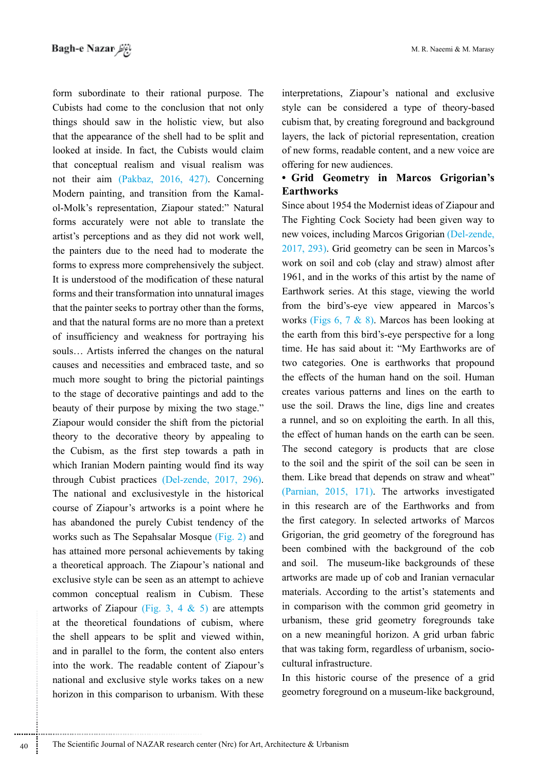form subordinate to their rational purpose. The Cubists had come to the conclusion that not only things should saw in the holistic view, but also that the appearance of the shell had to be split and looked at inside. In fact, the Cubists would claim that conceptual realism and visual realism was not their aim (Pakbaz, 2016, 427). Concerning Modern painting, and transition from the Kamalol-Molk's representation, Ziapour stated:" Natural forms accurately were not able to translate the artist's perceptions and as they did not work well, the painters due to the need had to moderate the forms to express more comprehensively the subject. It is understood of the modification of these natural forms and their transformation into unnatural images that the painter seeks to portray other than the forms, and that the natural forms are no more than a pretext of insufficiency and weakness for portraving his souls... Artists inferred the changes on the natural causes and necessities and embraced taste, and so much more sought to bring the pictorial paintings to the stage of decorative paintings and add to the beauty of their purpose by mixing the two stage." Ziapour would consider the shift from the pictorial theory to the decorative theory by appealing to the Cubism, as the first step towards a path in which Iranian Modern painting would find its way through Cubist practices (Del-zende, 2017, 296). The national and exclusivestyle in the historical course of Ziapour's artworks is a point where he has abandoned the purely Cubist tendency of the works such as The Sepahsalar Mosque (Fig. 2) and has attained more personal achievements by taking a theoretical approach. The Ziapour's national and exclusive style can be seen as an attempt to achieve common conceptual realism in Cubism. These artworks of Ziapour (Fig. 3, 4 & 5) are attempts at the theoretical foundations of cubism, where the shell appears to be split and viewed within, and in parallel to the form, the content also enters into the work. The readable content of Ziapour's national and exclusive style works takes on a new horizon in this comparison to urbanism. With these

interpretations, Ziapour's national and exclusive style can be considered a type of theory-based cubism that, by creating foreground and background layers, the lack of pictorial representation, creation of new forms, readable content, and a new voice are offering for new audiences.

### . Grid Geometry in Marcos Grigorian's **Earthworks**

Since about 1954 the Modernist ideas of Ziapour and The Fighting Cock Society had been given way to new voices, including Marcos Grigorian (Del-zende, 2017, 293). Grid geometry can be seen in Marcos's work on soil and cob (clay and straw) almost after 1961, and in the works of this artist by the name of Earthwork series. At this stage, viewing the world from the bird's-eye view appeared in Marcos's works (Figs  $6, 7 \& 8$ ). Marcos has been looking at the earth from this bird's-eye perspective for a long time. He has said about it: "My Earthworks are of two categories. One is earthworks that propound the effects of the human hand on the soil. Human creates various patterns and lines on the earth to use the soil. Draws the line, digs line and creates a runnel, and so on exploiting the earth. In all this, the effect of human hands on the earth can be seen. The second category is products that are close to the soil and the spirit of the soil can be seen in them. Like bread that depends on straw and wheat" (Parnian, 2015, 171). The artworks investigated in this research are of the Earthworks and from the first category. In selected artworks of Marcos Grigorian, the grid geometry of the foreground has been combined with the background of the cob and soil. The museum-like backgrounds of these artworks are made up of cob and Iranian vernacular materials. According to the artist's statements and in comparison with the common grid geometry in urbanism, these grid geometry foregrounds take on a new meaningful horizon. A grid urban fabric that was taking form, regardless of urbanism, sociocultural infrastructure.

In this historic course of the presence of a grid geometry foreground on a museum-like background,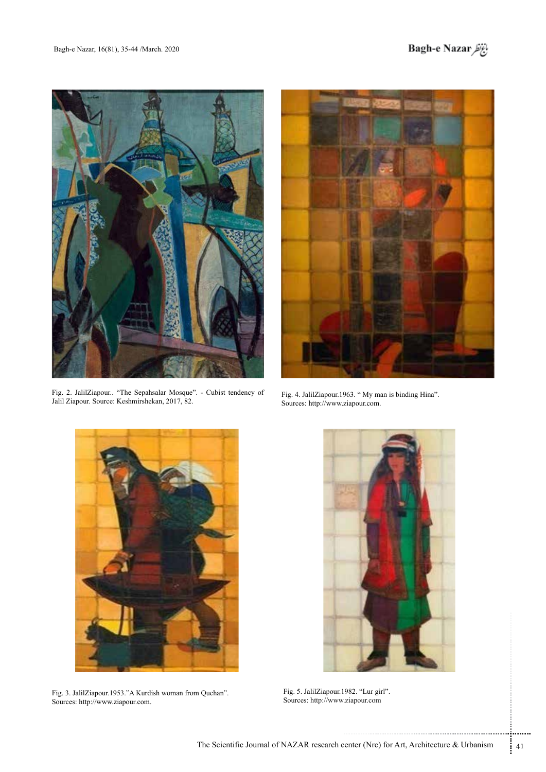



Fig. 2. JalilZiapour.. "The Sepahsalar Mosque". - Cubist tendency of Jalil Ziapour. Source: Keshmirshekan, 2017, 82.



Fig. 4. JalilZiapour 1963. " My man is binding Hina". Sources: http://www.ziapour.com.



Fig. 3. JalilZiapour 1953." A Kurdish woman from Quchan". Sources: http://www.ziapour.com.



Fig. 5. JalilZiapour 1982. "Lur girl". Sources: http://www.ziapour.com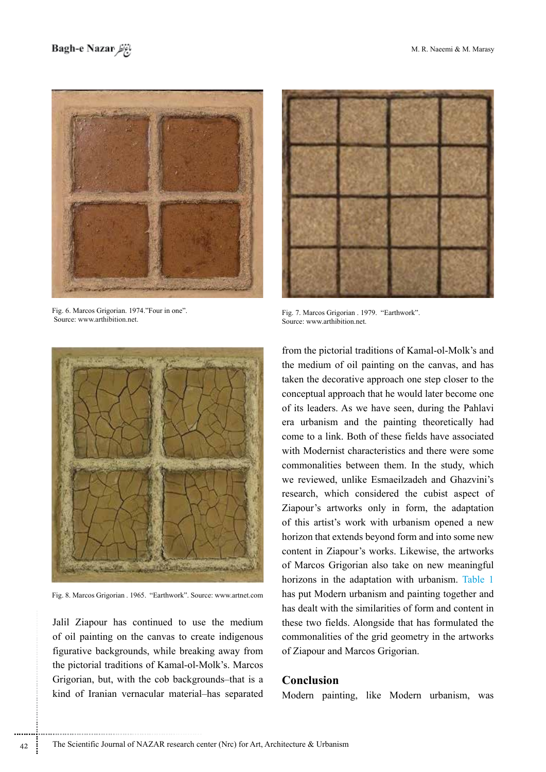

Fig. 6. Marcos Grigorian. 1974."Four in one". Source: www.arthibition.net.



Fig. 7. Marcos Grigorian . 1979. "Earthwork". Source: www.arthibition.net.



Fig. 8. Marcos Grigorian . 1965. "Earthwork". Source: www.artnet.com

Jalil Ziapour has continued to use the medium of oil painting on the canvas to create indigenous figurative backgrounds, while breaking away from the pictorial traditions of Kamal-ol-Molk's. Marcos Grigorian, but, with the cob backgrounds–that is a kind of Iranian vernacular material-has separated

............................................................

from the pictorial traditions of Kamal-ol-Molk's and the medium of oil painting on the canvas, and has taken the decorative approach one step closer to the conceptual approach that he would later become one of its leaders. As we have seen, during the Pahlavi era urbanism and the painting theoretically had come to a link. Both of these fields have associated with Modernist characteristics and there were some commonalities between them. In the study, which we reviewed, unlike Esmaeilzadeh and Ghazvini's research, which considered the cubist aspect of Ziapour's artworks only in form, the adaptation of this artist's work with urbanism opened a new horizon that extends beyond form and into some new content in Ziapour's works. Likewise, the artworks of Marcos Grigorian also take on new meaningful horizons in the adaptation with urbanism. Table 1 has put Modern urbanism and painting together and has dealt with the similarities of form and content in these two fields. Alongside that has formulated the commonalities of the grid geometry in the artworks of Ziapour and Marcos Grigorian.

### **Conclusion**

Modern painting, like Modern urbanism, was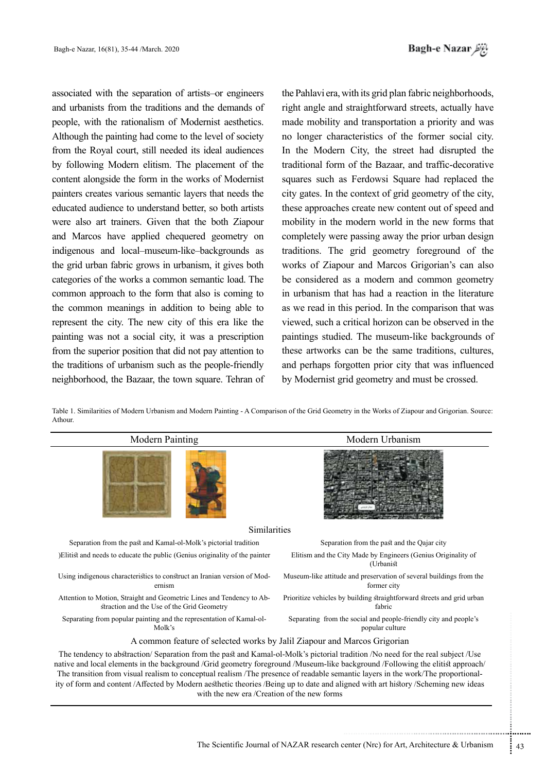associated with the separation of artists or engineers and urbanists from the traditions and the demands of people, with the rationalism of Modernist aesthetics. Although the painting had come to the level of society from the Royal court, still needed its ideal audiences by following Modern elitism. The placement of the content alongside the form in the works of Modernist painters creates various semantic layers that needs the educated audience to understand better, so both artists were also art trainers. Given that the both Ziapour and Marcos have applied chequered geometry on indigenous and local-museum-like-backgrounds as the grid urban fabric grows in urbanism, it gives both categories of the works a common semantic load. The common approach to the form that also is coming to the common meanings in addition to being able to represent the city. The new city of this era like the painting was not a social city, it was a prescription from the superior position that did not pay attention to the traditions of urbanism such as the people-friendly neighborhood, the Bazaar, the town square. Tehran of the Pahlavi era, with its grid plan fabric neighborhoods, right angle and straightforward streets, actually have made mobility and transportation a priority and was no longer characteristics of the former social city. In the Modern City, the street had disrupted the traditional form of the Bazaar, and traffic-decorative squares such as Ferdowsi Square had replaced the city gates. In the context of grid geometry of the city, these approaches create new content out of speed and mobility in the modern world in the new forms that completely were passing away the prior urban design traditions. The grid geometry foreground of the works of Ziapour and Marcos Grigorian's can also be considered as a modern and common geometry in urbanism that has had a reaction in the literature as we read in this period. In the comparison that was viewed, such a critical horizon can be observed in the paintings studied. The museum-like backgrounds of these artworks can be the same traditions, cultures, and perhaps forgotten prior city that was influenced by Modernist grid geometry and must be crossed.

Table 1. Similarities of Modern Urbanism and Modern Painting - A Comparison of the Grid Geometry in the Works of Ziapour and Grigorian. Source: .Athour

| <b>Modern Painting</b>                                                                                                                                                                                                                                                                                                                                                                                                                                                                                                                                                                   | Modern Urbanism                                                                     |
|------------------------------------------------------------------------------------------------------------------------------------------------------------------------------------------------------------------------------------------------------------------------------------------------------------------------------------------------------------------------------------------------------------------------------------------------------------------------------------------------------------------------------------------------------------------------------------------|-------------------------------------------------------------------------------------|
|                                                                                                                                                                                                                                                                                                                                                                                                                                                                                                                                                                                          |                                                                                     |
| Similarities                                                                                                                                                                                                                                                                                                                                                                                                                                                                                                                                                                             |                                                                                     |
| Separation from the past and Kamal-ol-Molk's pictorial tradition                                                                                                                                                                                                                                                                                                                                                                                                                                                                                                                         | Separation from the past and the Qajar city                                         |
| )Elitist and needs to educate the public (Genius originality of the painter                                                                                                                                                                                                                                                                                                                                                                                                                                                                                                              | Elitism and the City Made by Engineers (Genius Originality of<br>(Urbanist          |
| Using indigenous characteristics to construct an Iranian version of Mod-<br>ernism                                                                                                                                                                                                                                                                                                                                                                                                                                                                                                       | Museum-like attitude and preservation of several buildings from the<br>former city  |
| Attention to Motion, Straight and Geometric Lines and Tendency to Ab-<br>straction and the Use of the Grid Geometry                                                                                                                                                                                                                                                                                                                                                                                                                                                                      | Prioritize vehicles by building straightforward streets and grid urban<br>fabric    |
| Separating from popular painting and the representation of Kamal-ol-<br>Molk's                                                                                                                                                                                                                                                                                                                                                                                                                                                                                                           | Separating from the social and people-friendly city and people's<br>popular culture |
| A common feature of selected works by Jalil Ziapour and Marcos Grigorian                                                                                                                                                                                                                                                                                                                                                                                                                                                                                                                 |                                                                                     |
| The tendency to abstraction/Separation from the past and Kamal-ol-Molk's pictorial tradition /No need for the real subject /Use<br>native and local elements in the background /Grid geometry foreground /Museum-like background /Following the elitist approach/<br>The transition from visual realism to conceptual realism /The presence of readable semantic layers in the work/The proportional-<br>ity of form and content/Affected by Modern aesthetic theories /Being up to date and aligned with art history /Scheming new ideas<br>with the new era /Creation of the new forms |                                                                                     |